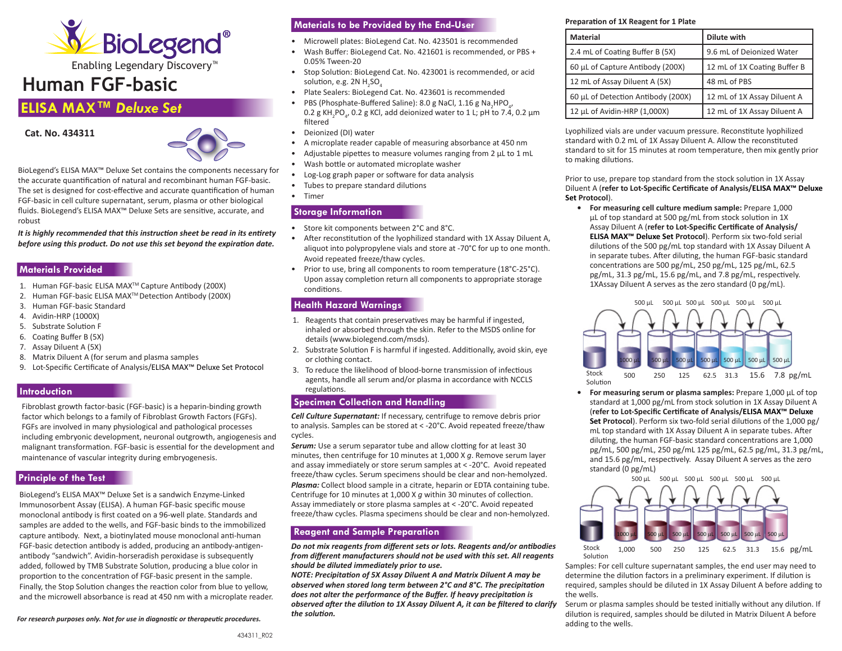

Enabling Legendary Discovery™

# **Human FGF-basic**

# **ELISA MAX™** *Deluxe Set*





BioLegend's ELISA MAX™ Deluxe Set contains the components necessary for the accurate quantification of natural and recombinant human FGF-basic. The set is designed for cost-effective and accurate quantification of human FGF-basic in cell culture supernatant, serum, plasma or other biological fluids. BioLegend's ELISA MAX™ Deluxe Sets are sensitive, accurate, and robust

*It is highly recommended that this instruction sheet be read in its entirety before using this product. Do not use this set beyond the expiration date.*

### **Materials Provided**

- 1. Human FGF-basic ELISA MAXTM Capture Antibody (200X)
- 2. Human FGF-basic ELISA MAXTM Detection Antibody (200X)
- 3. Human FGF-basic Standard
- 4. Avidin-HRP (1000X)
- 5. Substrate Solution F
- 6. Coating Buffer B (5X)
- 7. Assay Diluent A (5X)
- 8. Matrix Diluent A (for serum and plasma samples
- 9. Lot-Specific Certificate of Analysis/ELISA MAX™ Deluxe Set Protocol

#### **Introduction**

Fibroblast growth factor-basic (FGF-basic) is a heparin-binding growth factor which belongs to a family of Fibroblast Growth Factors (FGFs). FGFs are involved in many physiological and pathological processes including embryonic development, neuronal outgrowth, angiogenesis and malignant transformation. FGF-basic is essential for the development and maintenance of vascular integrity during embryogenesis.

## **Principle of the Test**

BioLegend's ELISA MAX™ Deluxe Set is a sandwich Enzyme-Linked Immunosorbent Assay (ELISA). A human FGF-basic specific mouse monoclonal antibody is first coated on a 96-well plate. Standards and samples are added to the wells, and FGF-basic binds to the immobilized capture antibody. Next, a biotinylated mouse monoclonal anti-human FGF-basic detection antibody is added, producing an antibody-antigenantibody "sandwich". Avidin-horseradish peroxidase is subsequently added, followed by TMB Substrate Solution, producing a blue color in proportion to the concentration of FGF-basic present in the sample. Finally, the Stop Solution changes the reaction color from blue to yellow, and the microwell absorbance is read at 450 nm with a microplate reader.

*For research purposes only. Not for use in diagnostic or therapeutic procedures.*

# **Materials to be Provided by the End-User**

- Microwell plates: BioLegend Cat. No. 423501 is recommended
- Wash Buffer: BioLegend Cat. No. 421601 is recommended, or PBS + 0.05% Tween-20
- Stop Solution: BioLegend Cat. No. 423001 is recommended, or acid solution, e.g. 2N  $H_{2}SO_{4}$
- Plate Sealers: BioLegend Cat. No. 423601 is recommended
- PBS (Phosphate-Buffered Saline): 8.0 g NaCl, 1.16 g Na<sub>2</sub>HPO<sub>4</sub>, 0.2 g KH<sub>2</sub>PO<sub>4</sub>, 0.2 g KCl, add deionized water to 1 L; pH to 7.4, 0.2 μm filtered
- Deionized (DI) water
- A microplate reader capable of measuring absorbance at 450 nm
- Adjustable pipettes to measure volumes ranging from 2 μL to 1 mL
- Wash bottle or automated microplate washer
- Log-Log graph paper or software for data analysis
- Tubes to prepare standard dilutions
- Timer

### **Storage Information**

- Store kit components between 2°C and 8°C.
- After reconstitution of the lyophilized standard with 1X Assay Diluent A, aliquot into polypropylene vials and store at -70°C for up to one month. Avoid repeated freeze/thaw cycles.
- Prior to use, bring all components to room temperature (18°C-25°C). Upon assay completion return all components to appropriate storage conditions.

#### **Health Hazard Warnings**

- 1. Reagents that contain preservatives may be harmful if ingested, inhaled or absorbed through the skin. Refer to the MSDS online for details (www.biolegend.com/msds).
- 2. Substrate Solution F is harmful if ingested. Additionally, avoid skin, eye or clothing contact.
- 3. To reduce the likelihood of blood-borne transmission of infectious agents, handle all serum and/or plasma in accordance with NCCLS regulations.

### **Specimen Collection and Handling**

*Cell Culture Supernatant:* If necessary, centrifuge to remove debris prior to analysis. Samples can be stored at < -20°C. Avoid repeated freeze/thaw cycles.

**Serum:** Use a serum separator tube and allow clotting for at least 30 minutes, then centrifuge for 10 minutes at 1,000 X *g*. Remove serum layer and assay immediately or store serum samples at < -20°C. Avoid repeated freeze/thaw cycles. Serum specimens should be clear and non-hemolyzed. *Plasma:* Collect blood sample in a citrate, heparin or EDTA containing tube. Centrifuge for 10 minutes at 1,000 X *g* within 30 minutes of collection. Assay immediately or store plasma samples at < -20°C. Avoid repeated freeze/thaw cycles. Plasma specimens should be clear and non-hemolyzed.

# **Reagent and Sample Preparation**

*Do not mix reagents from different sets or lots. Reagents and/or antibodies from different manufacturers should not be used with this set. All reagents should be diluted immediately prior to use.*

*NOTE: Precipitation of 5X Assay Diluent A and Matrix Diluent A may be observed when stored long term between 2°C and 8°C. The precipitation does not alter the performance of the Buffer. If heavy precipitation is observed after the dilution to 1X Assay Diluent A, it can be filtered to clarify the solution.*

#### **Preparation of 1X Reagent for 1 Plate**

| <b>Material</b>                    | Dilute with                  |
|------------------------------------|------------------------------|
| 2.4 mL of Coating Buffer B (5X)    | 9.6 mL of Deionized Water    |
| 60 μL of Capture Antibody (200X)   | 12 mL of 1X Coating Buffer B |
| 12 mL of Assay Diluent A (5X)      | 48 mL of PBS                 |
| 60 µL of Detection Antibody (200X) | 12 mL of 1X Assay Diluent A  |
| 12 µL of Avidin-HRP (1,000X)       | 12 mL of 1X Assay Diluent A  |

Lyophilized vials are under vacuum pressure. Reconstitute lyophilized standard with 0.2 mL of 1X Assay Diluent A. Allow the reconstituted standard to sit for 15 minutes at room temperature, then mix gently prior to making dilutions.

Prior to use, prepare top standard from the stock solution in 1X Assay Diluent A (**refer to Lot-Specific Certificate of Analysis/ELISA MAX™ Deluxe Set Protocol**).

**• For measuring cell culture medium sample:** Prepare 1,000 μL of top standard at 500 pg/mL from stock solution in 1X Assay Diluent A (**refer to Lot-Specific Certificate of Analysis/ ELISA MAX™ Deluxe Set Protocol**). Perform six two-fold serial dilutions of the 500 pg/mL top standard with 1X Assay Diluent A in separate tubes. After diluting, the human FGF-basic standard concentrations are 500 pg/mL, 250 pg/mL, 125 pg/mL, 62.5 pg/mL, 31.3 pg/mL, 15.6 pg/mL, and 7.8 pg/mL, respectively. 1XAssay Diluent A serves as the zero standard (0 pg/mL).



**• For measuring serum or plasma samples:** Prepare 1,000 μL of top standard at 1,000 pg/mL from stock solution in 1X Assay Diluent A (**refer to Lot-Specific Certificate of Analysis/ELISA MAX™ Deluxe Set Protocol**). Perform six two-fold serial dilutions of the 1,000 pg/ mL top standard with 1X Assay Diluent A in separate tubes. After diluting, the human FGF-basic standard concentrations are 1,000 pg/mL, 500 pg/mL, 250 pg/mL 125 pg/mL, 62.5 pg/mL, 31.3 pg/mL, and 15.6 pg/mL, respectively. Assay Diluent A serves as the zero standard (0 pg/mL)



Samples: For cell culture supernatant samples, the end user may need to determine the dilution factors in a preliminary experiment. If dilution is required, samples should be diluted in 1X Assay Diluent A before adding to the wells.

Serum or plasma samples should be tested initially without any dilution. If dilution is required, samples should be diluted in Matrix Diluent A before adding to the wells.